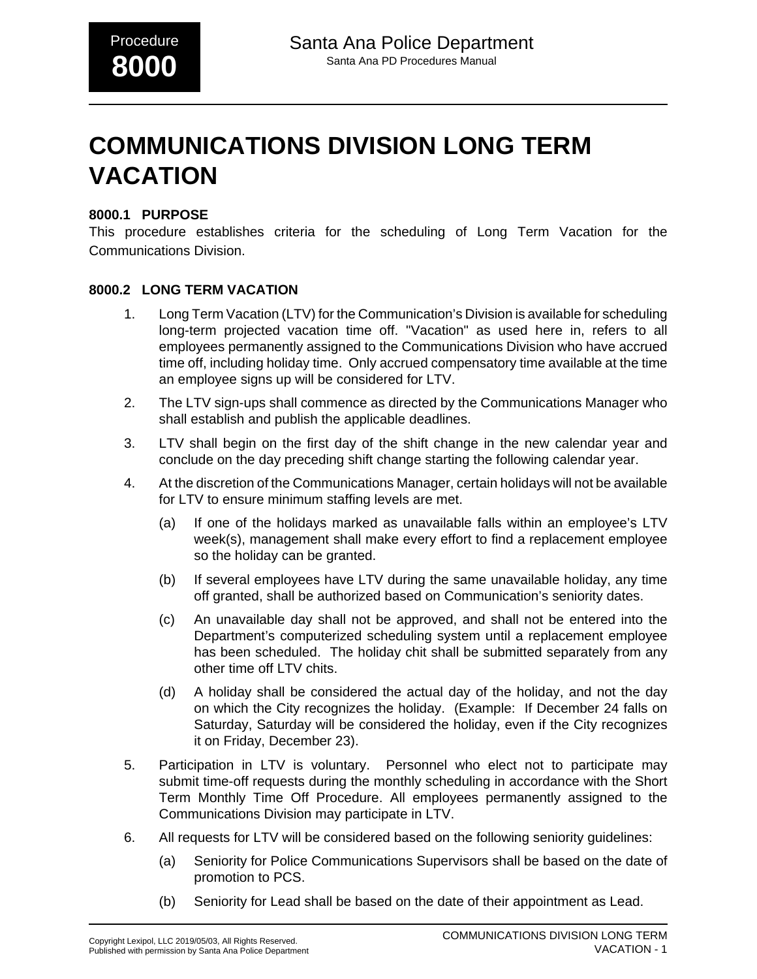# **COMMUNICATIONS DIVISION LONG TERM VACATION**

### **8000.1 PURPOSE**

This procedure establishes criteria for the scheduling of Long Term Vacation for the Communications Division.

#### **8000.2 LONG TERM VACATION**

- 1. Long Term Vacation (LTV) for the Communication's Division is available for scheduling long-term projected vacation time off. "Vacation" as used here in, refers to all employees permanently assigned to the Communications Division who have accrued time off, including holiday time. Only accrued compensatory time available at the time an employee signs up will be considered for LTV.
- 2. The LTV sign-ups shall commence as directed by the Communications Manager who shall establish and publish the applicable deadlines.
- 3. LTV shall begin on the first day of the shift change in the new calendar year and conclude on the day preceding shift change starting the following calendar year.
- 4. At the discretion of the Communications Manager, certain holidays will not be available for LTV to ensure minimum staffing levels are met.
	- (a) If one of the holidays marked as unavailable falls within an employee's LTV week(s), management shall make every effort to find a replacement employee so the holiday can be granted.
	- (b) If several employees have LTV during the same unavailable holiday, any time off granted, shall be authorized based on Communication's seniority dates.
	- (c) An unavailable day shall not be approved, and shall not be entered into the Department's computerized scheduling system until a replacement employee has been scheduled. The holiday chit shall be submitted separately from any other time off LTV chits.
	- (d) A holiday shall be considered the actual day of the holiday, and not the day on which the City recognizes the holiday. (Example: If December 24 falls on Saturday, Saturday will be considered the holiday, even if the City recognizes it on Friday, December 23).
- 5. Participation in LTV is voluntary. Personnel who elect not to participate may submit time-off requests during the monthly scheduling in accordance with the Short Term Monthly Time Off Procedure. All employees permanently assigned to the Communications Division may participate in LTV.
- 6. All requests for LTV will be considered based on the following seniority guidelines:
	- (a) Seniority for Police Communications Supervisors shall be based on the date of promotion to PCS.
	- (b) Seniority for Lead shall be based on the date of their appointment as Lead.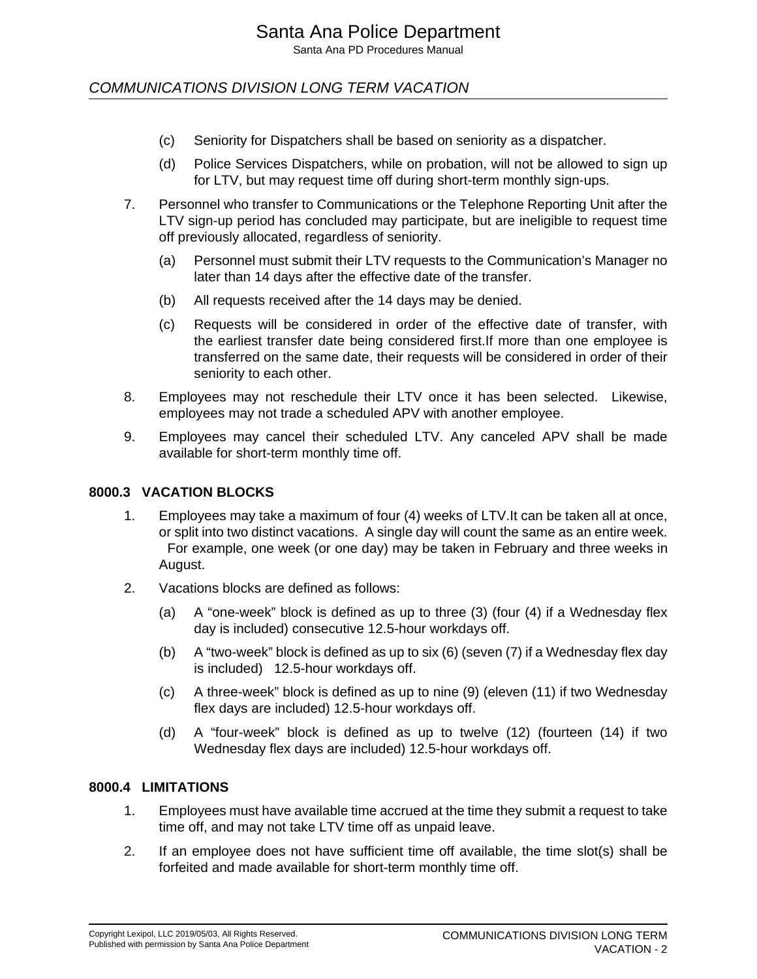COMMUNICATIONS DIVISION LONG TERM VACATION

- (c) Seniority for Dispatchers shall be based on seniority as a dispatcher.
- (d) Police Services Dispatchers, while on probation, will not be allowed to sign up for LTV, but may request time off during short-term monthly sign-ups.
- 7. Personnel who transfer to Communications or the Telephone Reporting Unit after the LTV sign-up period has concluded may participate, but are ineligible to request time off previously allocated, regardless of seniority.
	- (a) Personnel must submit their LTV requests to the Communication's Manager no later than 14 days after the effective date of the transfer.
	- (b) All requests received after the 14 days may be denied.
	- (c) Requests will be considered in order of the effective date of transfer, with the earliest transfer date being considered first.If more than one employee is transferred on the same date, their requests will be considered in order of their seniority to each other.
- 8. Employees may not reschedule their LTV once it has been selected. Likewise, employees may not trade a scheduled APV with another employee.
- 9. Employees may cancel their scheduled LTV. Any canceled APV shall be made available for short-term monthly time off.

#### **8000.3 VACATION BLOCKS**

- 1. Employees may take a maximum of four (4) weeks of LTV.It can be taken all at once, or split into two distinct vacations. A single day will count the same as an entire week. For example, one week (or one day) may be taken in February and three weeks in August.
- 2. Vacations blocks are defined as follows:
	- (a) A "one-week" block is defined as up to three (3) (four (4) if a Wednesday flex day is included) consecutive 12.5-hour workdays off.
	- (b) A "two-week" block is defined as up to six (6) (seven (7) if a Wednesday flex day is included) 12.5-hour workdays off.
	- (c) A three-week" block is defined as up to nine (9) (eleven (11) if two Wednesday flex days are included) 12.5-hour workdays off.
	- (d) A "four-week" block is defined as up to twelve (12) (fourteen (14) if two Wednesday flex days are included) 12.5-hour workdays off.

#### **8000.4 LIMITATIONS**

- 1. Employees must have available time accrued at the time they submit a request to take time off, and may not take LTV time off as unpaid leave.
- 2. If an employee does not have sufficient time off available, the time slot(s) shall be forfeited and made available for short-term monthly time off.